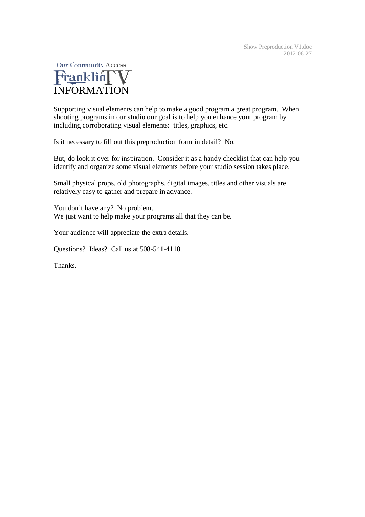

Supporting visual elements can help to make a good program a great program. When shooting programs in our studio our goal is to help you enhance your program by including corroborating visual elements: titles, graphics, etc.

Is it necessary to fill out this preproduction form in detail? No.

But, do look it over for inspiration. Consider it as a handy checklist that can help you identify and organize some visual elements before your studio session takes place.

Small physical props, old photographs, digital images, titles and other visuals are relatively easy to gather and prepare in advance.

You don't have any? No problem. We just want to help make your programs all that they can be.

Your audience will appreciate the extra details.

Questions? Ideas? Call us at 508-541-4118.

Thanks.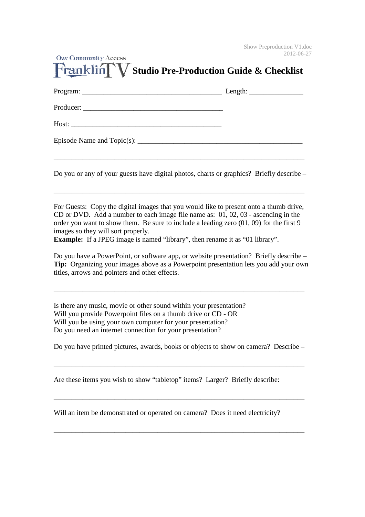| <b>Our Community Access</b><br>Franklin V Studio Pre-Production Guide & Checklist | ZU LZ-U0-. |
|-----------------------------------------------------------------------------------|------------|
|                                                                                   |            |
|                                                                                   |            |
|                                                                                   |            |
|                                                                                   |            |

 $\sim$   $\sim$   $\sim$   $\sim$   $\sim$ 

Do you or any of your guests have digital photos, charts or graphics? Briefly describe –

\_\_\_\_\_\_\_\_\_\_\_\_\_\_\_\_\_\_\_\_\_\_\_\_\_\_\_\_\_\_\_\_\_\_\_\_\_\_\_\_\_\_\_\_\_\_\_\_\_\_\_\_\_\_\_\_\_\_\_\_\_\_\_\_\_\_\_\_\_\_

For Guests: Copy the digital images that you would like to present onto a thumb drive, CD or DVD. Add a number to each image file name as: 01, 02, 03 - ascending in the order you want to show them. Be sure to include a leading zero (01, 09) for the first 9 images so they will sort properly.

**Example:** If a JPEG image is named "library", then rename it as "01 library".

Do you have a PowerPoint, or software app, or website presentation? Briefly describe – **Tip:** Organizing your images above as a Powerpoint presentation lets you add your own titles, arrows and pointers and other effects.

\_\_\_\_\_\_\_\_\_\_\_\_\_\_\_\_\_\_\_\_\_\_\_\_\_\_\_\_\_\_\_\_\_\_\_\_\_\_\_\_\_\_\_\_\_\_\_\_\_\_\_\_\_\_\_\_\_\_\_\_\_\_\_\_\_\_\_\_\_\_

Is there any music, movie or other sound within your presentation? Will you provide Powerpoint files on a thumb drive or CD - OR Will you be using your own computer for your presentation? Do you need an internet connection for your presentation?

Do you have printed pictures, awards, books or objects to show on camera? Describe –

\_\_\_\_\_\_\_\_\_\_\_\_\_\_\_\_\_\_\_\_\_\_\_\_\_\_\_\_\_\_\_\_\_\_\_\_\_\_\_\_\_\_\_\_\_\_\_\_\_\_\_\_\_\_\_\_\_\_\_\_\_\_\_\_\_\_\_\_\_\_

\_\_\_\_\_\_\_\_\_\_\_\_\_\_\_\_\_\_\_\_\_\_\_\_\_\_\_\_\_\_\_\_\_\_\_\_\_\_\_\_\_\_\_\_\_\_\_\_\_\_\_\_\_\_\_\_\_\_\_\_\_\_\_\_\_\_\_\_\_\_

\_\_\_\_\_\_\_\_\_\_\_\_\_\_\_\_\_\_\_\_\_\_\_\_\_\_\_\_\_\_\_\_\_\_\_\_\_\_\_\_\_\_\_\_\_\_\_\_\_\_\_\_\_\_\_\_\_\_\_\_\_\_\_\_\_\_\_\_\_\_

Are these items you wish to show "tabletop" items? Larger? Briefly describe:

Will an item be demonstrated or operated on camera? Does it need electricity?